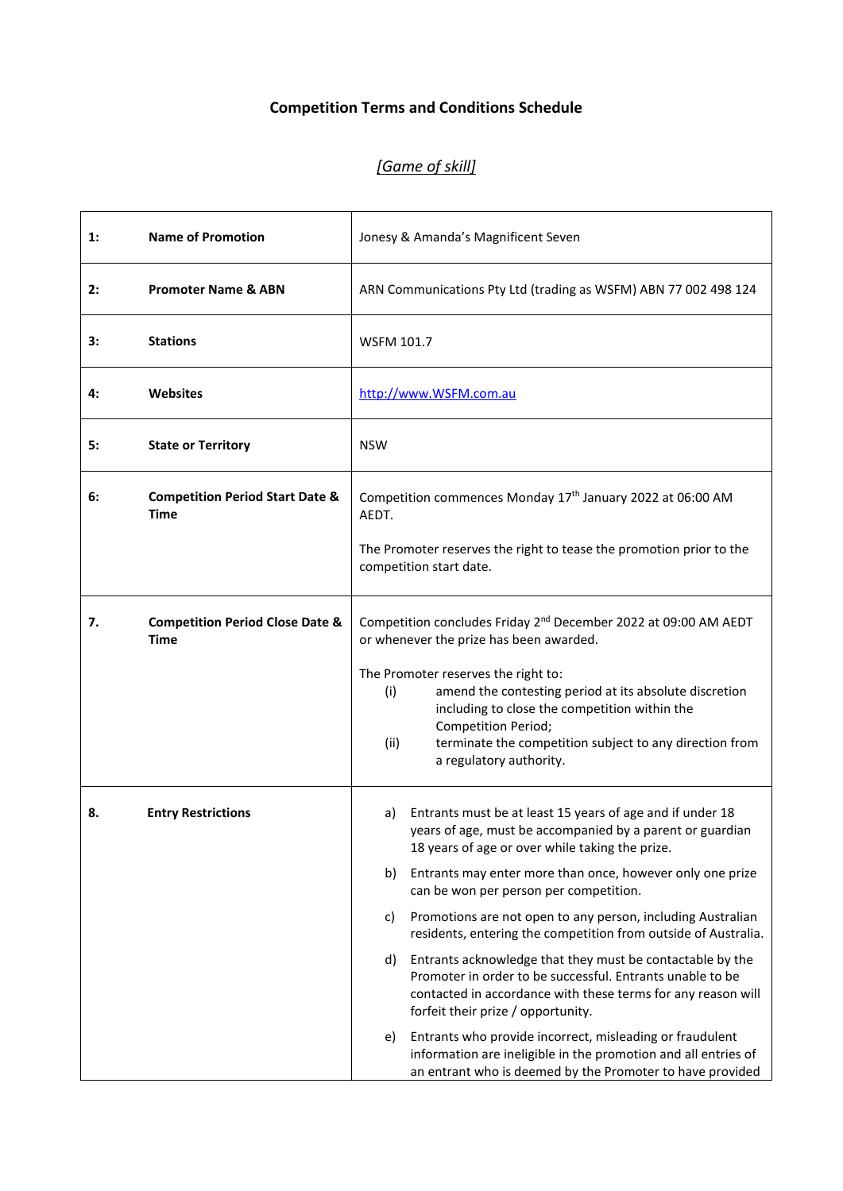# **Competition Terms and Conditions Schedule**

# *[Game of skill]*

| $\mathbf{1}$ : | <b>Name of Promotion</b>                                  | Jonesy & Amanda's Magnificent Seven                                                                                                                                                                                                                                        |
|----------------|-----------------------------------------------------------|----------------------------------------------------------------------------------------------------------------------------------------------------------------------------------------------------------------------------------------------------------------------------|
| 2:             | <b>Promoter Name &amp; ABN</b>                            | ARN Communications Pty Ltd (trading as WSFM) ABN 77 002 498 124                                                                                                                                                                                                            |
| 3:             | <b>Stations</b>                                           | <b>WSFM 101.7</b>                                                                                                                                                                                                                                                          |
| 4:             | <b>Websites</b>                                           | http://www.WSFM.com.au                                                                                                                                                                                                                                                     |
| 5:             | <b>State or Territory</b>                                 | <b>NSW</b>                                                                                                                                                                                                                                                                 |
| 6:             | <b>Competition Period Start Date &amp;</b><br>Time        | Competition commences Monday 17 <sup>th</sup> January 2022 at 06:00 AM<br>AEDT.                                                                                                                                                                                            |
|                |                                                           | The Promoter reserves the right to tease the promotion prior to the<br>competition start date.                                                                                                                                                                             |
| 7.             | <b>Competition Period Close Date &amp;</b><br><b>Time</b> | Competition concludes Friday 2 <sup>nd</sup> December 2022 at 09:00 AM AEDT<br>or whenever the prize has been awarded.                                                                                                                                                     |
|                |                                                           | The Promoter reserves the right to:<br>amend the contesting period at its absolute discretion<br>(i)<br>including to close the competition within the<br>Competition Period;<br>terminate the competition subject to any direction from<br>(ii)<br>a regulatory authority. |
| 8.             | <b>Entry Restrictions</b>                                 | Entrants must be at least 15 years of age and if under 18<br>a)<br>years of age, must be accompanied by a parent or guardian<br>18 years of age or over while taking the prize.                                                                                            |
|                |                                                           | Entrants may enter more than once, however only one prize<br>b)<br>can be won per person per competition.                                                                                                                                                                  |
|                |                                                           | Promotions are not open to any person, including Australian<br>C)<br>residents, entering the competition from outside of Australia.                                                                                                                                        |
|                |                                                           | Entrants acknowledge that they must be contactable by the<br>d)<br>Promoter in order to be successful. Entrants unable to be<br>contacted in accordance with these terms for any reason will<br>forfeit their prize / opportunity.                                         |
|                |                                                           | Entrants who provide incorrect, misleading or fraudulent<br>e)<br>information are ineligible in the promotion and all entries of<br>an entrant who is deemed by the Promoter to have provided                                                                              |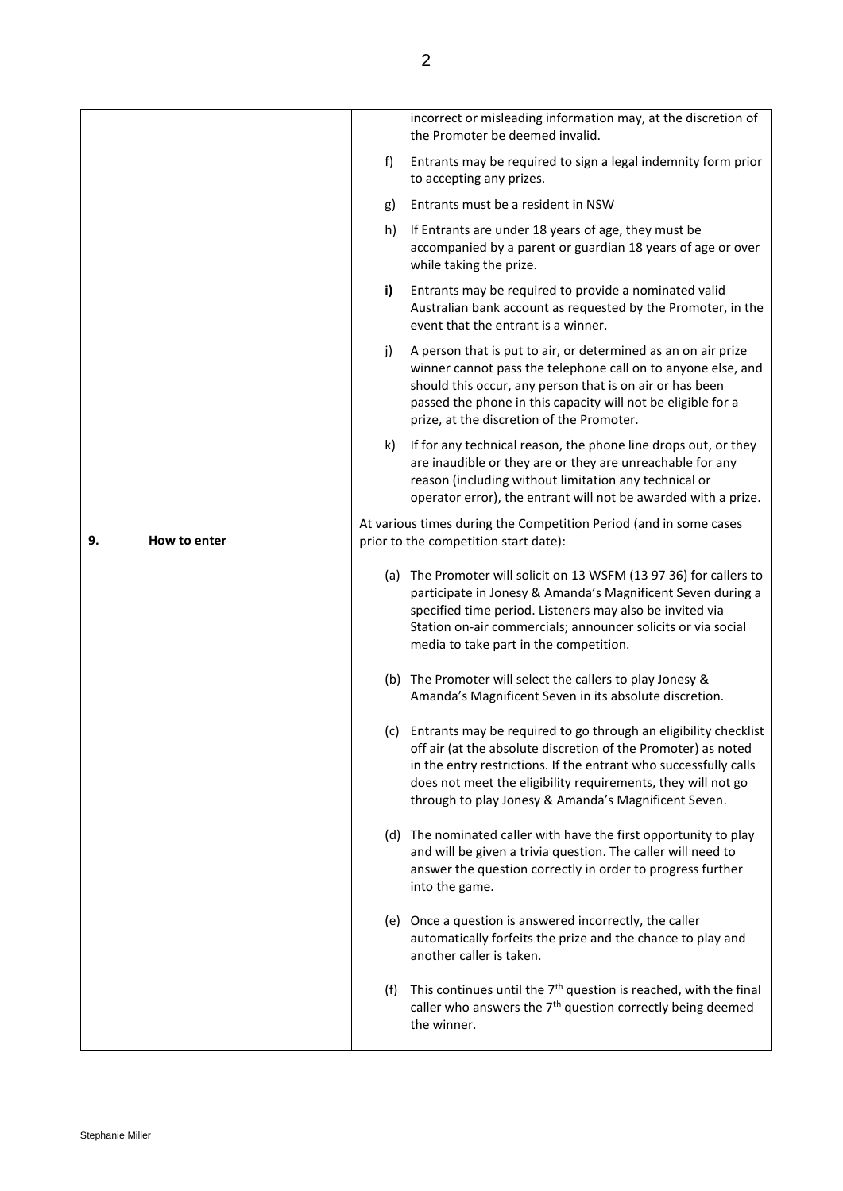|                    |     | incorrect or misleading information may, at the discretion of<br>the Promoter be deemed invalid.                                                                                                                                                                                                                                 |
|--------------------|-----|----------------------------------------------------------------------------------------------------------------------------------------------------------------------------------------------------------------------------------------------------------------------------------------------------------------------------------|
|                    | f)  | Entrants may be required to sign a legal indemnity form prior<br>to accepting any prizes.                                                                                                                                                                                                                                        |
|                    | g)  | Entrants must be a resident in NSW                                                                                                                                                                                                                                                                                               |
|                    | h)  | If Entrants are under 18 years of age, they must be<br>accompanied by a parent or guardian 18 years of age or over<br>while taking the prize.                                                                                                                                                                                    |
|                    | i)  | Entrants may be required to provide a nominated valid<br>Australian bank account as requested by the Promoter, in the<br>event that the entrant is a winner.                                                                                                                                                                     |
|                    | j)  | A person that is put to air, or determined as an on air prize<br>winner cannot pass the telephone call on to anyone else, and<br>should this occur, any person that is on air or has been<br>passed the phone in this capacity will not be eligible for a<br>prize, at the discretion of the Promoter.                           |
|                    | k)  | If for any technical reason, the phone line drops out, or they<br>are inaudible or they are or they are unreachable for any<br>reason (including without limitation any technical or<br>operator error), the entrant will not be awarded with a prize.                                                                           |
| How to enter<br>9. |     | At various times during the Competition Period (and in some cases<br>prior to the competition start date):                                                                                                                                                                                                                       |
|                    |     | (a) The Promoter will solicit on 13 WSFM (13 97 36) for callers to<br>participate in Jonesy & Amanda's Magnificent Seven during a<br>specified time period. Listeners may also be invited via<br>Station on-air commercials; announcer solicits or via social<br>media to take part in the competition.                          |
|                    |     | (b) The Promoter will select the callers to play Jonesy &<br>Amanda's Magnificent Seven in its absolute discretion.                                                                                                                                                                                                              |
|                    |     | (c) Entrants may be required to go through an eligibility checklist<br>off air (at the absolute discretion of the Promoter) as noted<br>in the entry restrictions. If the entrant who successfully calls<br>does not meet the eligibility requirements, they will not go<br>through to play Jonesy & Amanda's Magnificent Seven. |
|                    |     | (d) The nominated caller with have the first opportunity to play<br>and will be given a trivia question. The caller will need to<br>answer the question correctly in order to progress further<br>into the game.                                                                                                                 |
|                    |     | (e) Once a question is answered incorrectly, the caller<br>automatically forfeits the prize and the chance to play and<br>another caller is taken.                                                                                                                                                                               |
|                    | (f) | This continues until the 7 <sup>th</sup> question is reached, with the final<br>caller who answers the 7 <sup>th</sup> question correctly being deemed<br>the winner.                                                                                                                                                            |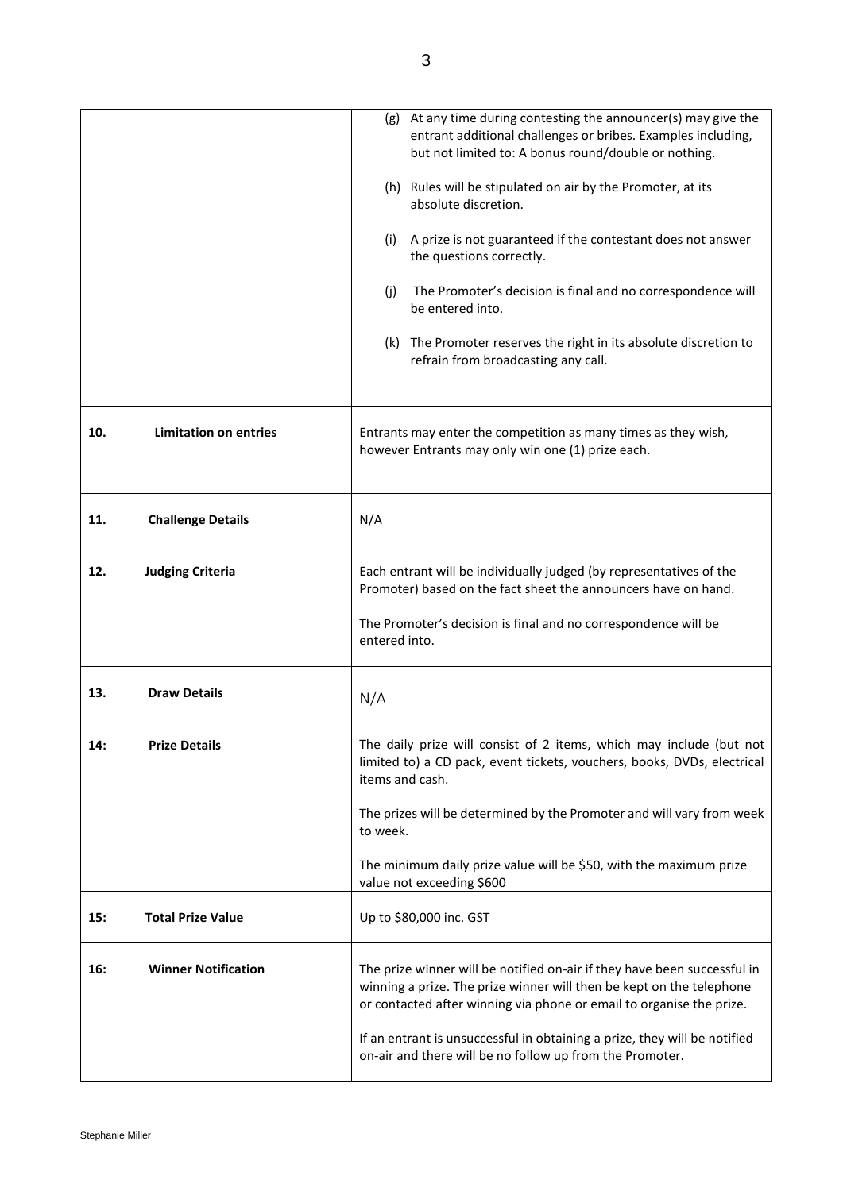|     |                              | (g) At any time during contesting the announcer(s) may give the<br>entrant additional challenges or bribes. Examples including,<br>but not limited to: A bonus round/double or nothing.                                  |
|-----|------------------------------|--------------------------------------------------------------------------------------------------------------------------------------------------------------------------------------------------------------------------|
|     |                              | (h) Rules will be stipulated on air by the Promoter, at its<br>absolute discretion.                                                                                                                                      |
|     |                              | A prize is not guaranteed if the contestant does not answer<br>(i)<br>the questions correctly.                                                                                                                           |
|     |                              | (j)<br>The Promoter's decision is final and no correspondence will<br>be entered into.                                                                                                                                   |
|     |                              | (k) The Promoter reserves the right in its absolute discretion to<br>refrain from broadcasting any call.                                                                                                                 |
| 10. | <b>Limitation on entries</b> | Entrants may enter the competition as many times as they wish,<br>however Entrants may only win one (1) prize each.                                                                                                      |
| 11. | <b>Challenge Details</b>     | N/A                                                                                                                                                                                                                      |
| 12. | <b>Judging Criteria</b>      | Each entrant will be individually judged (by representatives of the<br>Promoter) based on the fact sheet the announcers have on hand.                                                                                    |
|     |                              | The Promoter's decision is final and no correspondence will be<br>entered into.                                                                                                                                          |
| 13. | <b>Draw Details</b>          | N/A                                                                                                                                                                                                                      |
| 14: | <b>Prize Details</b>         | The daily prize will consist of 2 items, which may include (but not<br>limited to) a CD pack, event tickets, vouchers, books, DVDs, electrical<br>items and cash.                                                        |
|     |                              | The prizes will be determined by the Promoter and will vary from week<br>to week.                                                                                                                                        |
|     |                              | The minimum daily prize value will be \$50, with the maximum prize<br>value not exceeding \$600                                                                                                                          |
| 15: | <b>Total Prize Value</b>     | Up to \$80,000 inc. GST                                                                                                                                                                                                  |
| 16: | <b>Winner Notification</b>   | The prize winner will be notified on-air if they have been successful in<br>winning a prize. The prize winner will then be kept on the telephone<br>or contacted after winning via phone or email to organise the prize. |
|     |                              | If an entrant is unsuccessful in obtaining a prize, they will be notified<br>on-air and there will be no follow up from the Promoter.                                                                                    |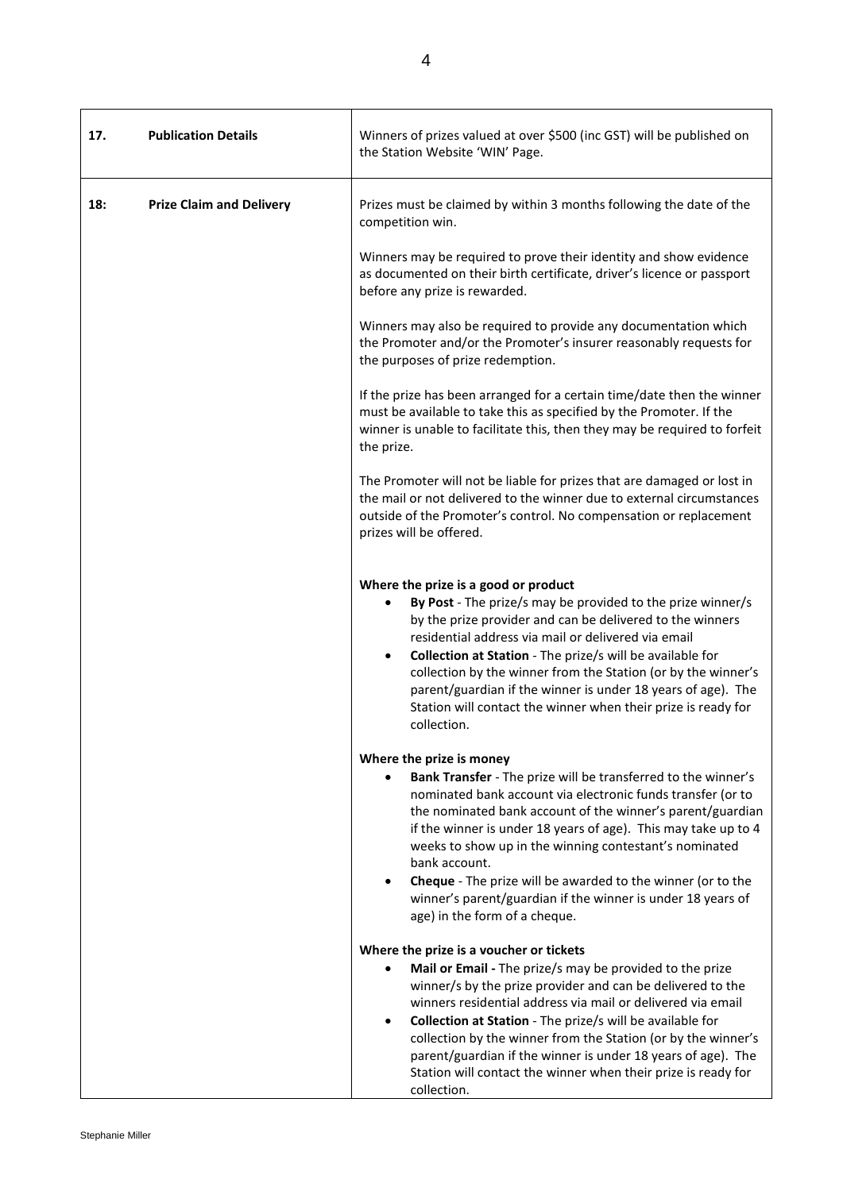| 17. | <b>Publication Details</b>      | Winners of prizes valued at over \$500 (inc GST) will be published on<br>the Station Website 'WIN' Page.                                                                                                                                                                                                                                                                                                                                                                                                                           |
|-----|---------------------------------|------------------------------------------------------------------------------------------------------------------------------------------------------------------------------------------------------------------------------------------------------------------------------------------------------------------------------------------------------------------------------------------------------------------------------------------------------------------------------------------------------------------------------------|
| 18: | <b>Prize Claim and Delivery</b> | Prizes must be claimed by within 3 months following the date of the<br>competition win.                                                                                                                                                                                                                                                                                                                                                                                                                                            |
|     |                                 | Winners may be required to prove their identity and show evidence<br>as documented on their birth certificate, driver's licence or passport<br>before any prize is rewarded.                                                                                                                                                                                                                                                                                                                                                       |
|     |                                 | Winners may also be required to provide any documentation which<br>the Promoter and/or the Promoter's insurer reasonably requests for<br>the purposes of prize redemption.                                                                                                                                                                                                                                                                                                                                                         |
|     |                                 | If the prize has been arranged for a certain time/date then the winner<br>must be available to take this as specified by the Promoter. If the<br>winner is unable to facilitate this, then they may be required to forfeit<br>the prize.                                                                                                                                                                                                                                                                                           |
|     |                                 | The Promoter will not be liable for prizes that are damaged or lost in<br>the mail or not delivered to the winner due to external circumstances<br>outside of the Promoter's control. No compensation or replacement<br>prizes will be offered.                                                                                                                                                                                                                                                                                    |
|     |                                 | Where the prize is a good or product<br>By Post - The prize/s may be provided to the prize winner/s<br>$\bullet$<br>by the prize provider and can be delivered to the winners<br>residential address via mail or delivered via email<br>Collection at Station - The prize/s will be available for<br>$\bullet$<br>collection by the winner from the Station (or by the winner's<br>parent/guardian if the winner is under 18 years of age). The<br>Station will contact the winner when their prize is ready for<br>collection.    |
|     |                                 | Where the prize is money<br>Bank Transfer - The prize will be transferred to the winner's<br>nominated bank account via electronic funds transfer (or to<br>the nominated bank account of the winner's parent/guardian<br>if the winner is under 18 years of age). This may take up to 4<br>weeks to show up in the winning contestant's nominated<br>bank account.<br>Cheque - The prize will be awarded to the winner (or to the<br>winner's parent/guardian if the winner is under 18 years of<br>age) in the form of a cheque. |
|     |                                 | Where the prize is a voucher or tickets<br>Mail or Email - The prize/s may be provided to the prize<br>winner/s by the prize provider and can be delivered to the<br>winners residential address via mail or delivered via email<br>Collection at Station - The prize/s will be available for<br>$\bullet$<br>collection by the winner from the Station (or by the winner's<br>parent/guardian if the winner is under 18 years of age). The<br>Station will contact the winner when their prize is ready for<br>collection.        |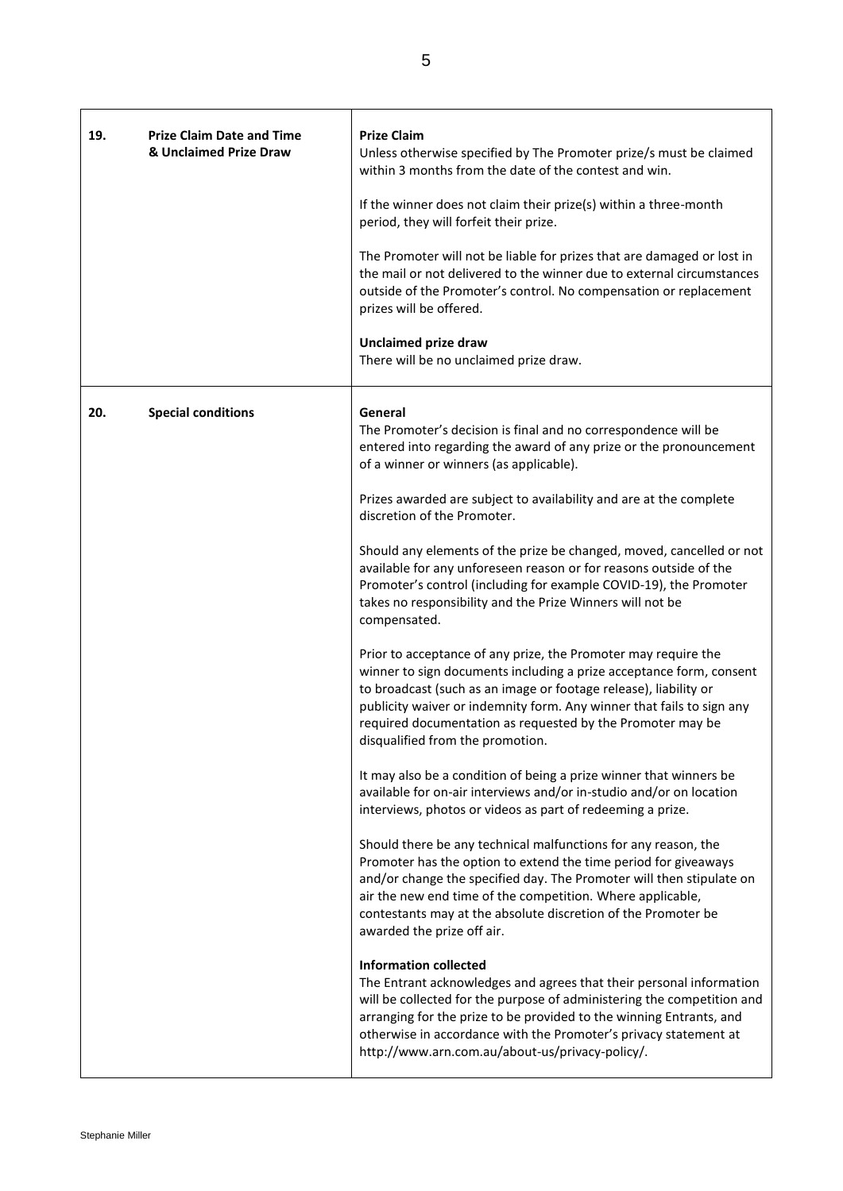| 19. | <b>Prize Claim Date and Time</b><br>& Unclaimed Prize Draw | <b>Prize Claim</b><br>Unless otherwise specified by The Promoter prize/s must be claimed<br>within 3 months from the date of the contest and win.<br>If the winner does not claim their prize(s) within a three-month<br>period, they will forfeit their prize.<br>The Promoter will not be liable for prizes that are damaged or lost in<br>the mail or not delivered to the winner due to external circumstances<br>outside of the Promoter's control. No compensation or replacement<br>prizes will be offered.<br><b>Unclaimed prize draw</b><br>There will be no unclaimed prize draw.                                                                                                                                                                                                                                                                                                                                                                                                                                                                                                                                                                                                                                                                                                                                                                                                                                                                                                                                                                                                                                                                                                                                                                                                                                                                                                                                                                |
|-----|------------------------------------------------------------|------------------------------------------------------------------------------------------------------------------------------------------------------------------------------------------------------------------------------------------------------------------------------------------------------------------------------------------------------------------------------------------------------------------------------------------------------------------------------------------------------------------------------------------------------------------------------------------------------------------------------------------------------------------------------------------------------------------------------------------------------------------------------------------------------------------------------------------------------------------------------------------------------------------------------------------------------------------------------------------------------------------------------------------------------------------------------------------------------------------------------------------------------------------------------------------------------------------------------------------------------------------------------------------------------------------------------------------------------------------------------------------------------------------------------------------------------------------------------------------------------------------------------------------------------------------------------------------------------------------------------------------------------------------------------------------------------------------------------------------------------------------------------------------------------------------------------------------------------------------------------------------------------------------------------------------------------------|
| 20. | <b>Special conditions</b>                                  | General<br>The Promoter's decision is final and no correspondence will be<br>entered into regarding the award of any prize or the pronouncement<br>of a winner or winners (as applicable).<br>Prizes awarded are subject to availability and are at the complete<br>discretion of the Promoter.<br>Should any elements of the prize be changed, moved, cancelled or not<br>available for any unforeseen reason or for reasons outside of the<br>Promoter's control (including for example COVID-19), the Promoter<br>takes no responsibility and the Prize Winners will not be<br>compensated.<br>Prior to acceptance of any prize, the Promoter may require the<br>winner to sign documents including a prize acceptance form, consent<br>to broadcast (such as an image or footage release), liability or<br>publicity waiver or indemnity form. Any winner that fails to sign any<br>required documentation as requested by the Promoter may be<br>disqualified from the promotion.<br>It may also be a condition of being a prize winner that winners be<br>available for on-air interviews and/or in-studio and/or on location<br>interviews, photos or videos as part of redeeming a prize.<br>Should there be any technical malfunctions for any reason, the<br>Promoter has the option to extend the time period for giveaways<br>and/or change the specified day. The Promoter will then stipulate on<br>air the new end time of the competition. Where applicable,<br>contestants may at the absolute discretion of the Promoter be<br>awarded the prize off air.<br><b>Information collected</b><br>The Entrant acknowledges and agrees that their personal information<br>will be collected for the purpose of administering the competition and<br>arranging for the prize to be provided to the winning Entrants, and<br>otherwise in accordance with the Promoter's privacy statement at<br>http://www.arn.com.au/about-us/privacy-policy/. |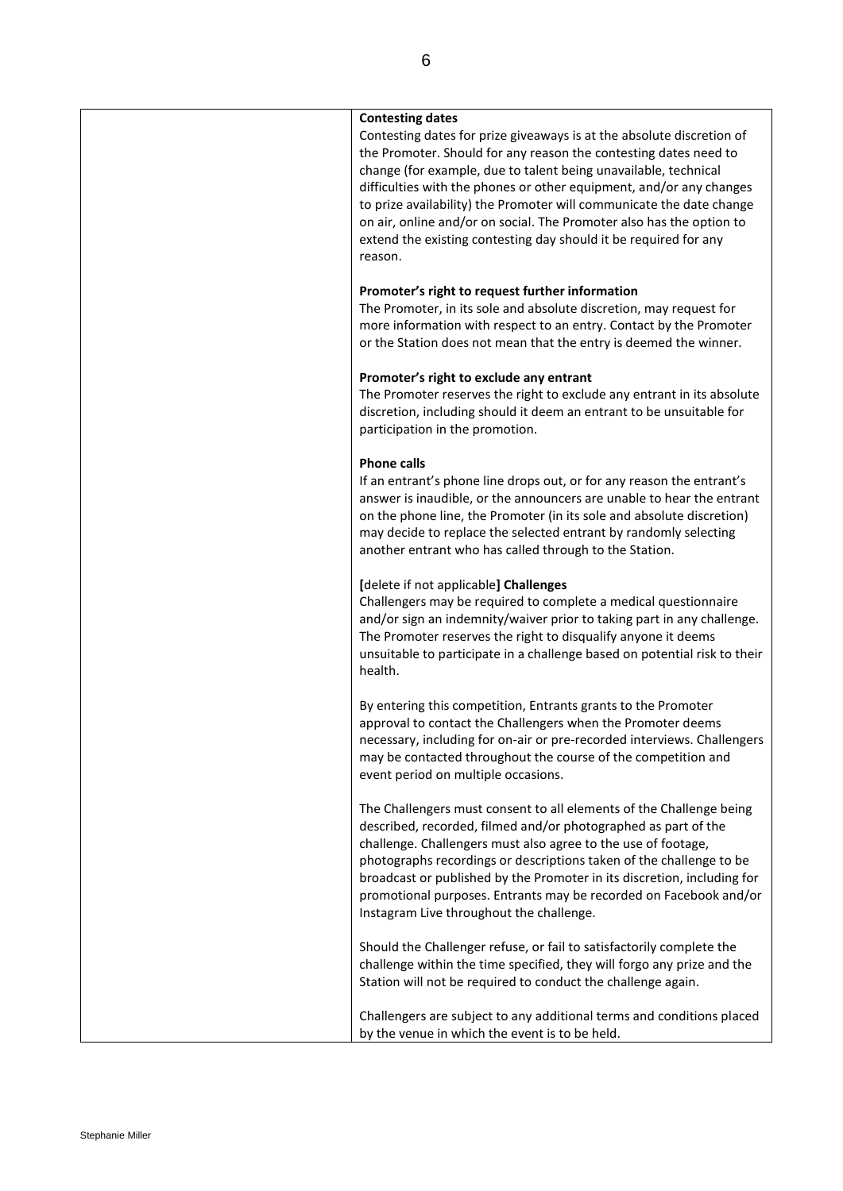### **Contesting dates**

Contesting dates for prize giveaways is at the absolute discretion of the Promoter. Should for any reason the contesting dates need to change (for example, due to talent being unavailable, technical difficulties with the phones or other equipment, and/or any changes to prize availability) the Promoter will communicate the date change on air, online and/or on social. The Promoter also has the option to extend the existing contesting day should it be required for any reason.

### **Promoter's right to request further information**

The Promoter, in its sole and absolute discretion, may request for more information with respect to an entry. Contact by the Promoter or the Station does not mean that the entry is deemed the winner.

### **Promoter's right to exclude any entrant**

The Promoter reserves the right to exclude any entrant in its absolute discretion, including should it deem an entrant to be unsuitable for participation in the promotion.

### **Phone calls**

If an entrant's phone line drops out, or for any reason the entrant's answer is inaudible, or the announcers are unable to hear the entrant on the phone line, the Promoter (in its sole and absolute discretion) may decide to replace the selected entrant by randomly selecting another entrant who has called through to the Station.

### **[**delete if not applicable**] Challenges**

Challengers may be required to complete a medical questionnaire and/or sign an indemnity/waiver prior to taking part in any challenge. The Promoter reserves the right to disqualify anyone it deems unsuitable to participate in a challenge based on potential risk to their health.

By entering this competition, Entrants grants to the Promoter approval to contact the Challengers when the Promoter deems necessary, including for on-air or pre-recorded interviews. Challengers may be contacted throughout the course of the competition and event period on multiple occasions.

The Challengers must consent to all elements of the Challenge being described, recorded, filmed and/or photographed as part of the challenge. Challengers must also agree to the use of footage, photographs recordings or descriptions taken of the challenge to be broadcast or published by the Promoter in its discretion, including for promotional purposes. Entrants may be recorded on Facebook and/or Instagram Live throughout the challenge.

Should the Challenger refuse, or fail to satisfactorily complete the challenge within the time specified, they will forgo any prize and the Station will not be required to conduct the challenge again.

Challengers are subject to any additional terms and conditions placed by the venue in which the event is to be held.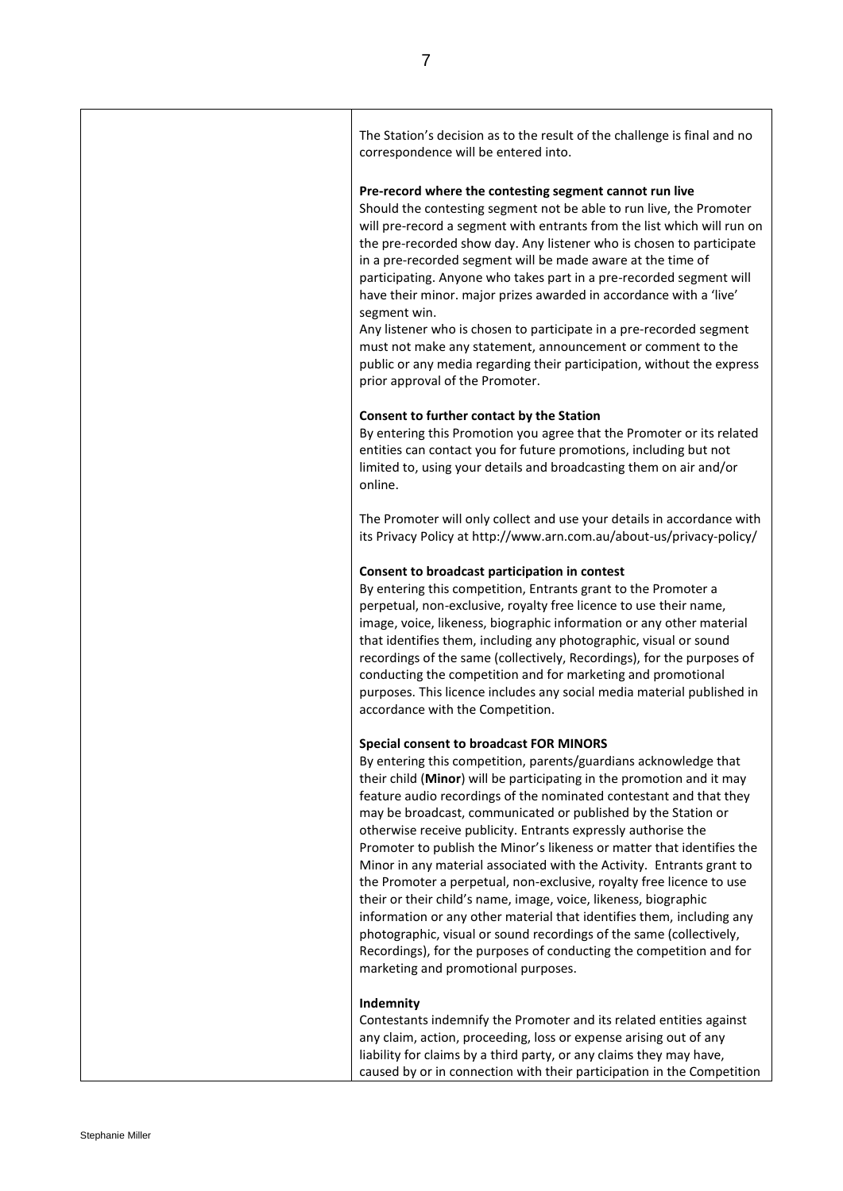The Station's decision as to the result of the challenge is final and no correspondence will be entered into.

### **Pre-record where the contesting segment cannot run live**

Should the contesting segment not be able to run live, the Promoter will pre-record a segment with entrants from the list which will run on the pre-recorded show day. Any listener who is chosen to participate in a pre-recorded segment will be made aware at the time of participating. Anyone who takes part in a pre-recorded segment will have their minor. major prizes awarded in accordance with a 'live' segment win.

Any listener who is chosen to participate in a pre-recorded segment must not make any statement, announcement or comment to the public or any media regarding their participation, without the express prior approval of the Promoter.

### **Consent to further contact by the Station**

By entering this Promotion you agree that the Promoter or its related entities can contact you for future promotions, including but not limited to, using your details and broadcasting them on air and/or online.

The Promoter will only collect and use your details in accordance with its Privacy Policy a[t http://www.arn.com.au/about-us/privacy-policy/](http://www.arn.com.au/about-us/privacy-policy/)

#### **Consent to broadcast participation in contest**

By entering this competition, Entrants grant to the Promoter a perpetual, non-exclusive, royalty free licence to use their name, image, voice, likeness, biographic information or any other material that identifies them, including any photographic, visual or sound recordings of the same (collectively, Recordings), for the purposes of conducting the competition and for marketing and promotional purposes. This licence includes any social media material published in accordance with the Competition.

### **Special consent to broadcast FOR MINORS**

By entering this competition, parents/guardians acknowledge that their child (**Minor**) will be participating in the promotion and it may feature audio recordings of the nominated contestant and that they may be broadcast, communicated or published by the Station or otherwise receive publicity. Entrants expressly authorise the Promoter to publish the Minor's likeness or matter that identifies the Minor in any material associated with the Activity. Entrants grant to the Promoter a perpetual, non-exclusive, royalty free licence to use their or their child's name, image, voice, likeness, biographic information or any other material that identifies them, including any photographic, visual or sound recordings of the same (collectively, Recordings), for the purposes of conducting the competition and for marketing and promotional purposes.

#### **Indemnity**

Contestants indemnify the Promoter and its related entities against any claim, action, proceeding, loss or expense arising out of any liability for claims by a third party, or any claims they may have, caused by or in connection with their participation in the Competition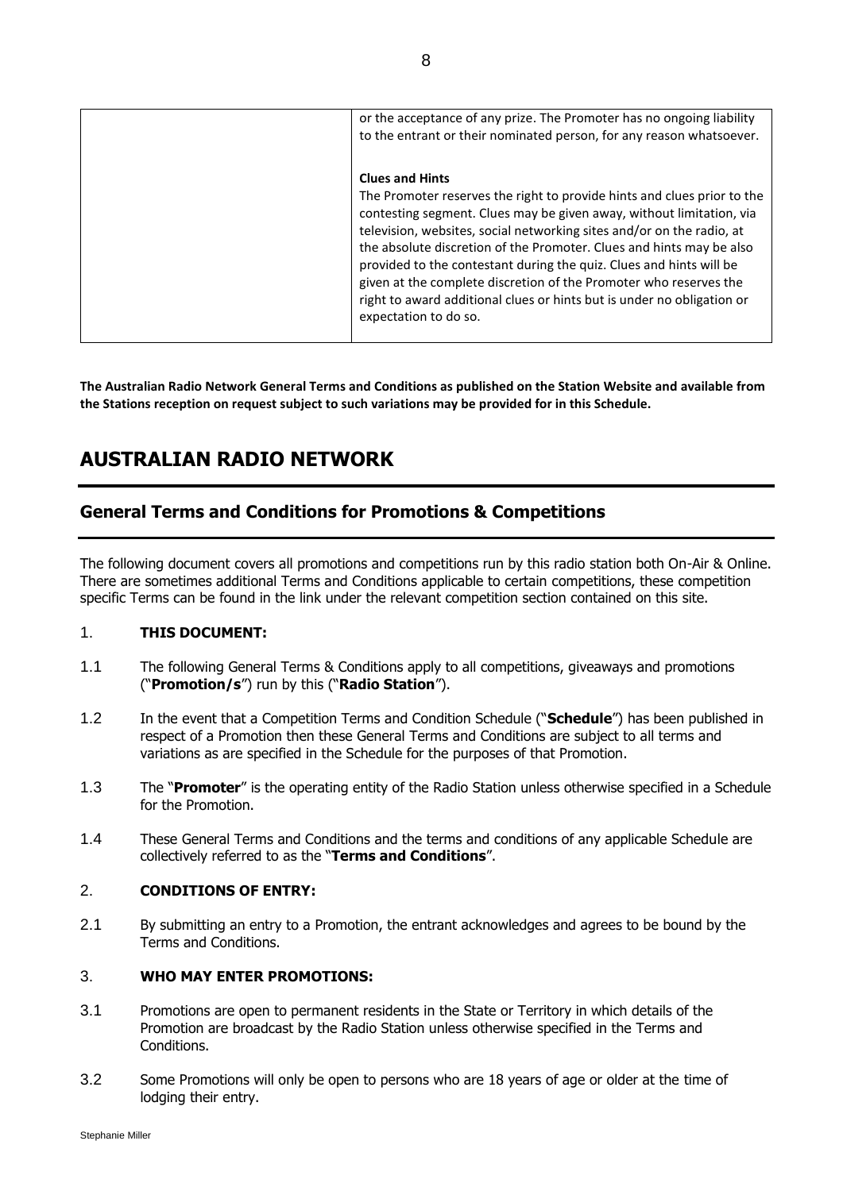| or the acceptance of any prize. The Promoter has no ongoing liability<br>to the entrant or their nominated person, for any reason whatsoever.                                                                                                                                                                                                                                                                                                                                                                                                                             |
|---------------------------------------------------------------------------------------------------------------------------------------------------------------------------------------------------------------------------------------------------------------------------------------------------------------------------------------------------------------------------------------------------------------------------------------------------------------------------------------------------------------------------------------------------------------------------|
| <b>Clues and Hints</b><br>The Promoter reserves the right to provide hints and clues prior to the<br>contesting segment. Clues may be given away, without limitation, via<br>television, websites, social networking sites and/or on the radio, at<br>the absolute discretion of the Promoter. Clues and hints may be also<br>provided to the contestant during the quiz. Clues and hints will be<br>given at the complete discretion of the Promoter who reserves the<br>right to award additional clues or hints but is under no obligation or<br>expectation to do so. |

**The Australian Radio Network General Terms and Conditions as published on the Station Website and available from the Stations reception on request subject to such variations may be provided for in this Schedule.**

# **AUSTRALIAN RADIO NETWORK**

# **General Terms and Conditions for Promotions & Competitions**

The following document covers all promotions and competitions run by this radio station both On-Air & Online. There are sometimes additional Terms and Conditions applicable to certain competitions, these competition specific Terms can be found in the link under the relevant competition section contained on this site.

# 1. **THIS DOCUMENT:**

- 1.1 The following General Terms & Conditions apply to all competitions, giveaways and promotions ("**Promotion/s**") run by this ("**Radio Station**").
- 1.2 In the event that a Competition Terms and Condition Schedule ("**Schedule**") has been published in respect of a Promotion then these General Terms and Conditions are subject to all terms and variations as are specified in the Schedule for the purposes of that Promotion.
- 1.3 The "**Promoter**" is the operating entity of the Radio Station unless otherwise specified in a Schedule for the Promotion.
- 1.4 These General Terms and Conditions and the terms and conditions of any applicable Schedule are collectively referred to as the "**Terms and Conditions**".

# 2. **CONDITIONS OF ENTRY:**

2.1 By submitting an entry to a Promotion, the entrant acknowledges and agrees to be bound by the Terms and Conditions.

# 3. **WHO MAY ENTER PROMOTIONS:**

- 3.1 Promotions are open to permanent residents in the State or Territory in which details of the Promotion are broadcast by the Radio Station unless otherwise specified in the Terms and Conditions.
- 3.2 Some Promotions will only be open to persons who are 18 years of age or older at the time of lodging their entry.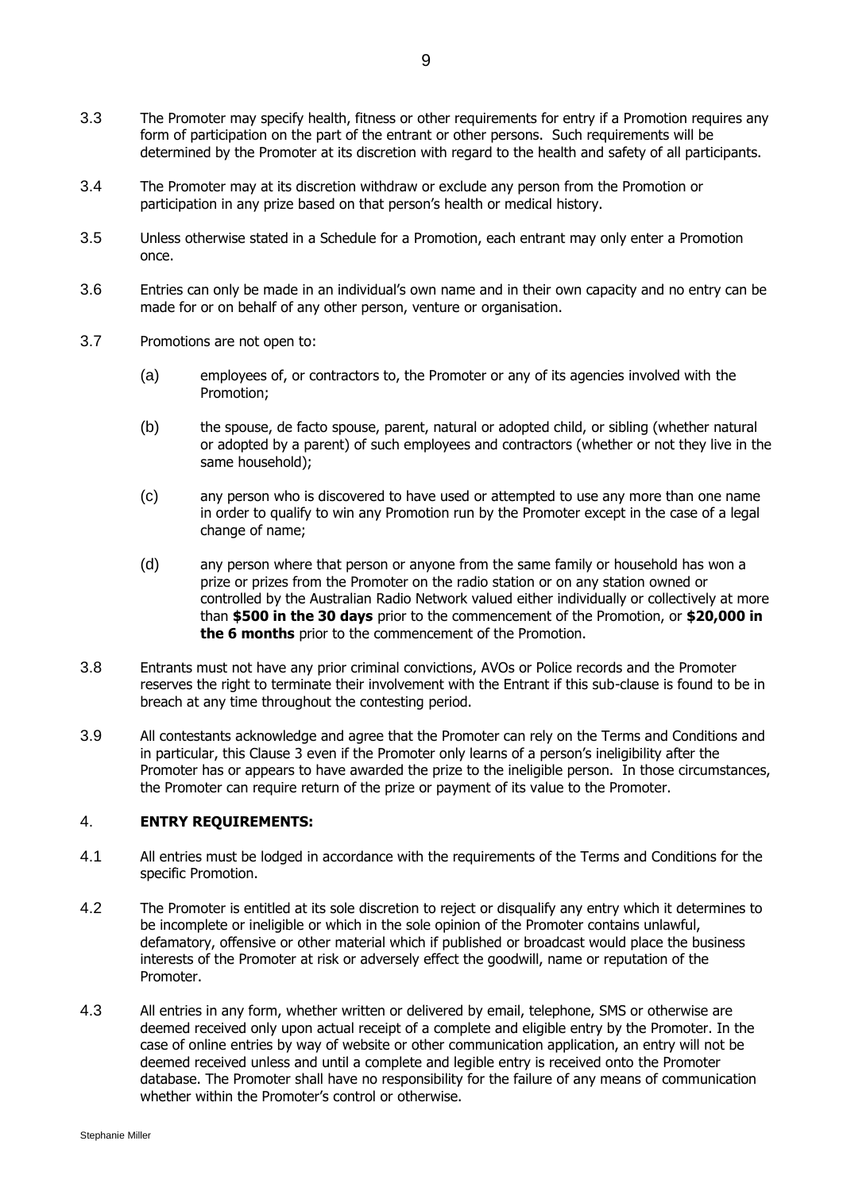- 3.3 The Promoter may specify health, fitness or other requirements for entry if a Promotion requires any form of participation on the part of the entrant or other persons. Such requirements will be determined by the Promoter at its discretion with regard to the health and safety of all participants.
- 3.4 The Promoter may at its discretion withdraw or exclude any person from the Promotion or participation in any prize based on that person's health or medical history.
- 3.5 Unless otherwise stated in a Schedule for a Promotion, each entrant may only enter a Promotion once.
- 3.6 Entries can only be made in an individual's own name and in their own capacity and no entry can be made for or on behalf of any other person, venture or organisation.
- 3.7 Promotions are not open to:
	- (a) employees of, or contractors to, the Promoter or any of its agencies involved with the Promotion;
	- (b) the spouse, de facto spouse, parent, natural or adopted child, or sibling (whether natural or adopted by a parent) of such employees and contractors (whether or not they live in the same household);
	- (c) any person who is discovered to have used or attempted to use any more than one name in order to qualify to win any Promotion run by the Promoter except in the case of a legal change of name;
	- (d) any person where that person or anyone from the same family or household has won a prize or prizes from the Promoter on the radio station or on any station owned or controlled by the Australian Radio Network valued either individually or collectively at more than **\$500 in the 30 days** prior to the commencement of the Promotion, or **\$20,000 in the 6 months** prior to the commencement of the Promotion.
- 3.8 Entrants must not have any prior criminal convictions, AVOs or Police records and the Promoter reserves the right to terminate their involvement with the Entrant if this sub-clause is found to be in breach at any time throughout the contesting period.
- 3.9 All contestants acknowledge and agree that the Promoter can rely on the Terms and Conditions and in particular, this Clause 3 even if the Promoter only learns of a person's ineligibility after the Promoter has or appears to have awarded the prize to the ineligible person. In those circumstances, the Promoter can require return of the prize or payment of its value to the Promoter.

# 4. **ENTRY REQUIREMENTS:**

- 4.1 All entries must be lodged in accordance with the requirements of the Terms and Conditions for the specific Promotion.
- 4.2 The Promoter is entitled at its sole discretion to reject or disqualify any entry which it determines to be incomplete or ineligible or which in the sole opinion of the Promoter contains unlawful, defamatory, offensive or other material which if published or broadcast would place the business interests of the Promoter at risk or adversely effect the goodwill, name or reputation of the Promoter.
- 4.3 All entries in any form, whether written or delivered by email, telephone, SMS or otherwise are deemed received only upon actual receipt of a complete and eligible entry by the Promoter. In the case of online entries by way of website or other communication application, an entry will not be deemed received unless and until a complete and legible entry is received onto the Promoter database. The Promoter shall have no responsibility for the failure of any means of communication whether within the Promoter's control or otherwise.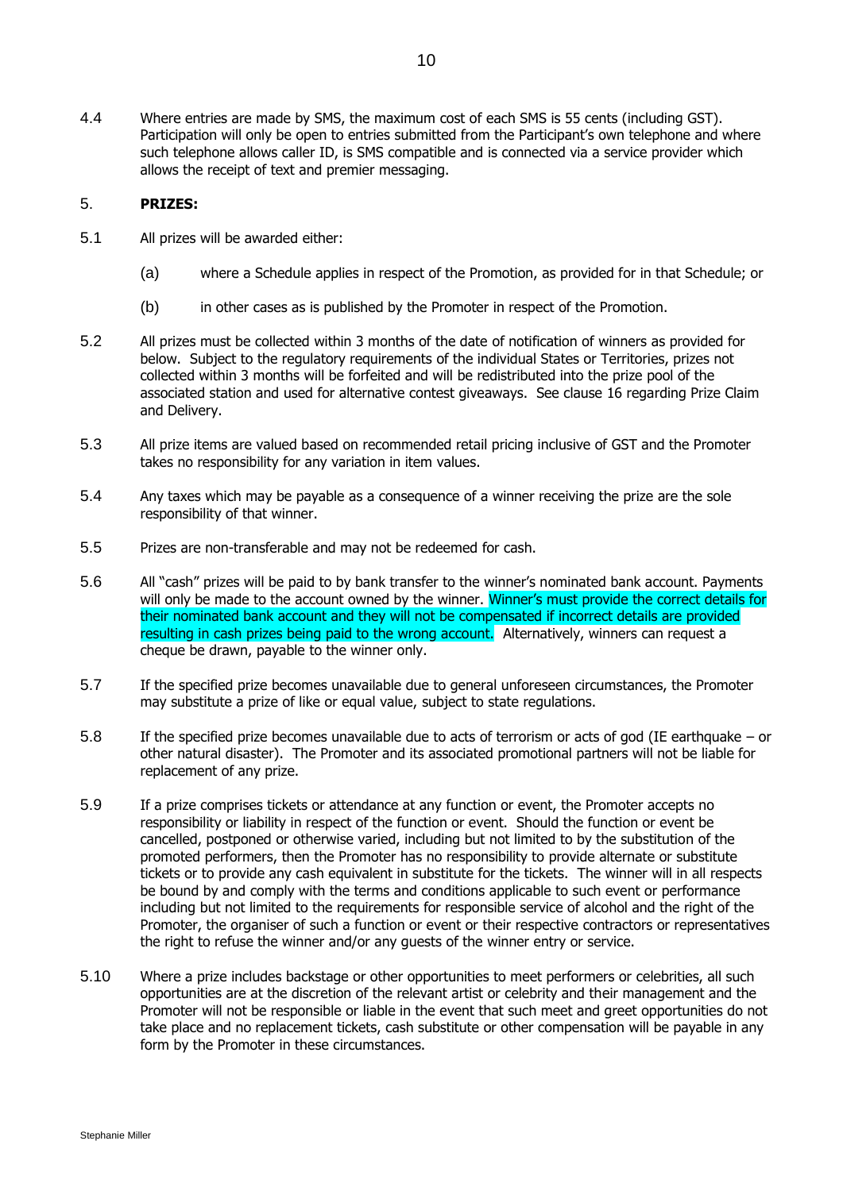4.4 Where entries are made by SMS, the maximum cost of each SMS is 55 cents (including GST). Participation will only be open to entries submitted from the Participant's own telephone and where such telephone allows caller ID, is SMS compatible and is connected via a service provider which allows the receipt of text and premier messaging.

### 5. **PRIZES:**

- 5.1 All prizes will be awarded either:
	- (a) where a Schedule applies in respect of the Promotion, as provided for in that Schedule; or
	- (b) in other cases as is published by the Promoter in respect of the Promotion.
- 5.2 All prizes must be collected within 3 months of the date of notification of winners as provided for below. Subject to the regulatory requirements of the individual States or Territories, prizes not collected within 3 months will be forfeited and will be redistributed into the prize pool of the associated station and used for alternative contest giveaways. See clause 16 regarding Prize Claim and Delivery.
- 5.3 All prize items are valued based on recommended retail pricing inclusive of GST and the Promoter takes no responsibility for any variation in item values.
- 5.4 Any taxes which may be payable as a consequence of a winner receiving the prize are the sole responsibility of that winner.
- 5.5 Prizes are non-transferable and may not be redeemed for cash.
- 5.6 All "cash" prizes will be paid to by bank transfer to the winner's nominated bank account. Payments will only be made to the account owned by the winner. Winner's must provide the correct details for their nominated bank account and they will not be compensated if incorrect details are provided resulting in cash prizes being paid to the wrong account. Alternatively, winners can request a cheque be drawn, payable to the winner only.
- 5.7 If the specified prize becomes unavailable due to general unforeseen circumstances, the Promoter may substitute a prize of like or equal value, subject to state regulations.
- 5.8 If the specified prize becomes unavailable due to acts of terrorism or acts of god (IE earthquake or other natural disaster). The Promoter and its associated promotional partners will not be liable for replacement of any prize.
- 5.9 If a prize comprises tickets or attendance at any function or event, the Promoter accepts no responsibility or liability in respect of the function or event. Should the function or event be cancelled, postponed or otherwise varied, including but not limited to by the substitution of the promoted performers, then the Promoter has no responsibility to provide alternate or substitute tickets or to provide any cash equivalent in substitute for the tickets. The winner will in all respects be bound by and comply with the terms and conditions applicable to such event or performance including but not limited to the requirements for responsible service of alcohol and the right of the Promoter, the organiser of such a function or event or their respective contractors or representatives the right to refuse the winner and/or any guests of the winner entry or service.
- 5.10 Where a prize includes backstage or other opportunities to meet performers or celebrities, all such opportunities are at the discretion of the relevant artist or celebrity and their management and the Promoter will not be responsible or liable in the event that such meet and greet opportunities do not take place and no replacement tickets, cash substitute or other compensation will be payable in any form by the Promoter in these circumstances.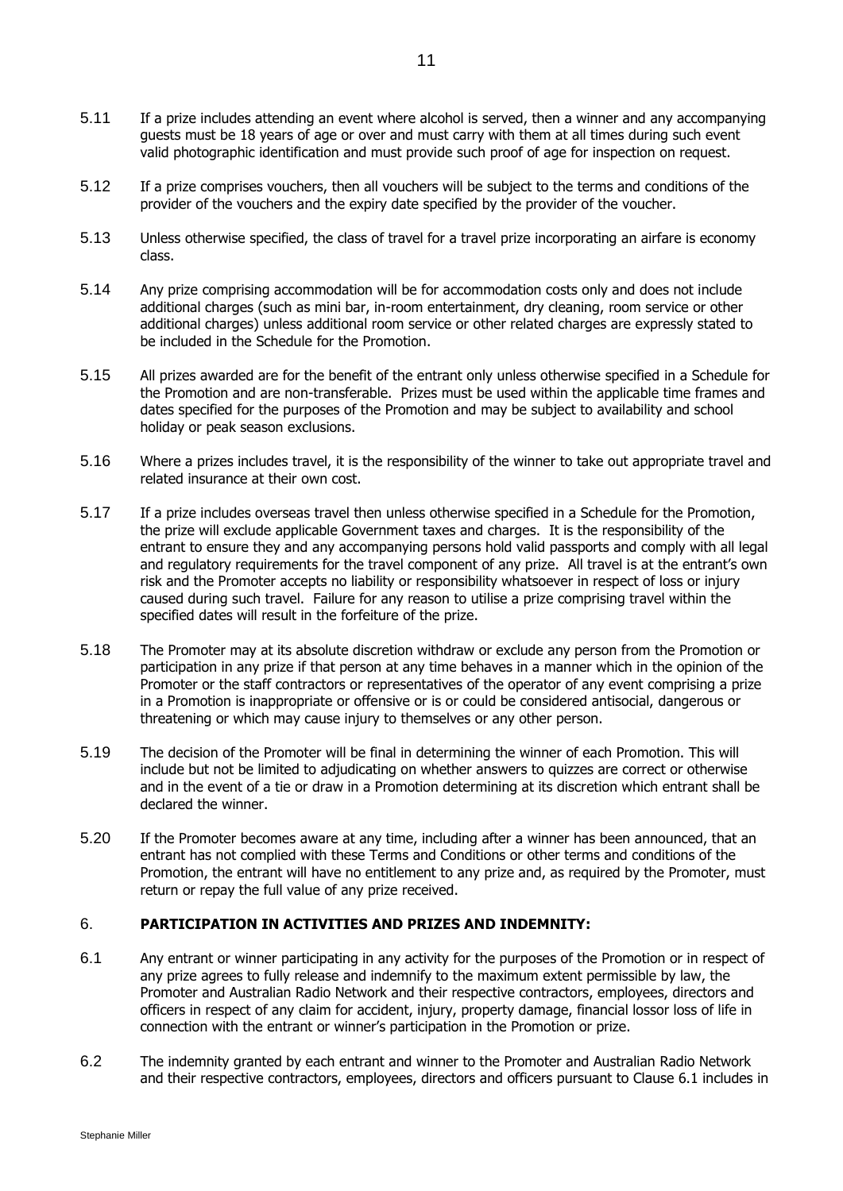- 5.11 If a prize includes attending an event where alcohol is served, then a winner and any accompanying guests must be 18 years of age or over and must carry with them at all times during such event valid photographic identification and must provide such proof of age for inspection on request.
- 5.12 If a prize comprises vouchers, then all vouchers will be subject to the terms and conditions of the provider of the vouchers and the expiry date specified by the provider of the voucher.
- 5.13 Unless otherwise specified, the class of travel for a travel prize incorporating an airfare is economy class.
- 5.14 Any prize comprising accommodation will be for accommodation costs only and does not include additional charges (such as mini bar, in-room entertainment, dry cleaning, room service or other additional charges) unless additional room service or other related charges are expressly stated to be included in the Schedule for the Promotion.
- 5.15 All prizes awarded are for the benefit of the entrant only unless otherwise specified in a Schedule for the Promotion and are non-transferable. Prizes must be used within the applicable time frames and dates specified for the purposes of the Promotion and may be subject to availability and school holiday or peak season exclusions.
- 5.16 Where a prizes includes travel, it is the responsibility of the winner to take out appropriate travel and related insurance at their own cost.
- 5.17 If a prize includes overseas travel then unless otherwise specified in a Schedule for the Promotion, the prize will exclude applicable Government taxes and charges. It is the responsibility of the entrant to ensure they and any accompanying persons hold valid passports and comply with all legal and regulatory requirements for the travel component of any prize. All travel is at the entrant's own risk and the Promoter accepts no liability or responsibility whatsoever in respect of loss or injury caused during such travel. Failure for any reason to utilise a prize comprising travel within the specified dates will result in the forfeiture of the prize.
- 5.18 The Promoter may at its absolute discretion withdraw or exclude any person from the Promotion or participation in any prize if that person at any time behaves in a manner which in the opinion of the Promoter or the staff contractors or representatives of the operator of any event comprising a prize in a Promotion is inappropriate or offensive or is or could be considered antisocial, dangerous or threatening or which may cause injury to themselves or any other person.
- 5.19 The decision of the Promoter will be final in determining the winner of each Promotion. This will include but not be limited to adjudicating on whether answers to quizzes are correct or otherwise and in the event of a tie or draw in a Promotion determining at its discretion which entrant shall be declared the winner.
- 5.20 If the Promoter becomes aware at any time, including after a winner has been announced, that an entrant has not complied with these Terms and Conditions or other terms and conditions of the Promotion, the entrant will have no entitlement to any prize and, as required by the Promoter, must return or repay the full value of any prize received.

# 6. **PARTICIPATION IN ACTIVITIES AND PRIZES AND INDEMNITY:**

- <span id="page-10-0"></span>6.1 Any entrant or winner participating in any activity for the purposes of the Promotion or in respect of any prize agrees to fully release and indemnify to the maximum extent permissible by law, the Promoter and Australian Radio Network and their respective contractors, employees, directors and officers in respect of any claim for accident, injury, property damage, financial lossor loss of life in connection with the entrant or winner's participation in the Promotion or prize.
- 6.2 The indemnity granted by each entrant and winner to the Promoter and Australian Radio Network and their respective contractors, employees, directors and officers pursuant to Clause 6.1 includes in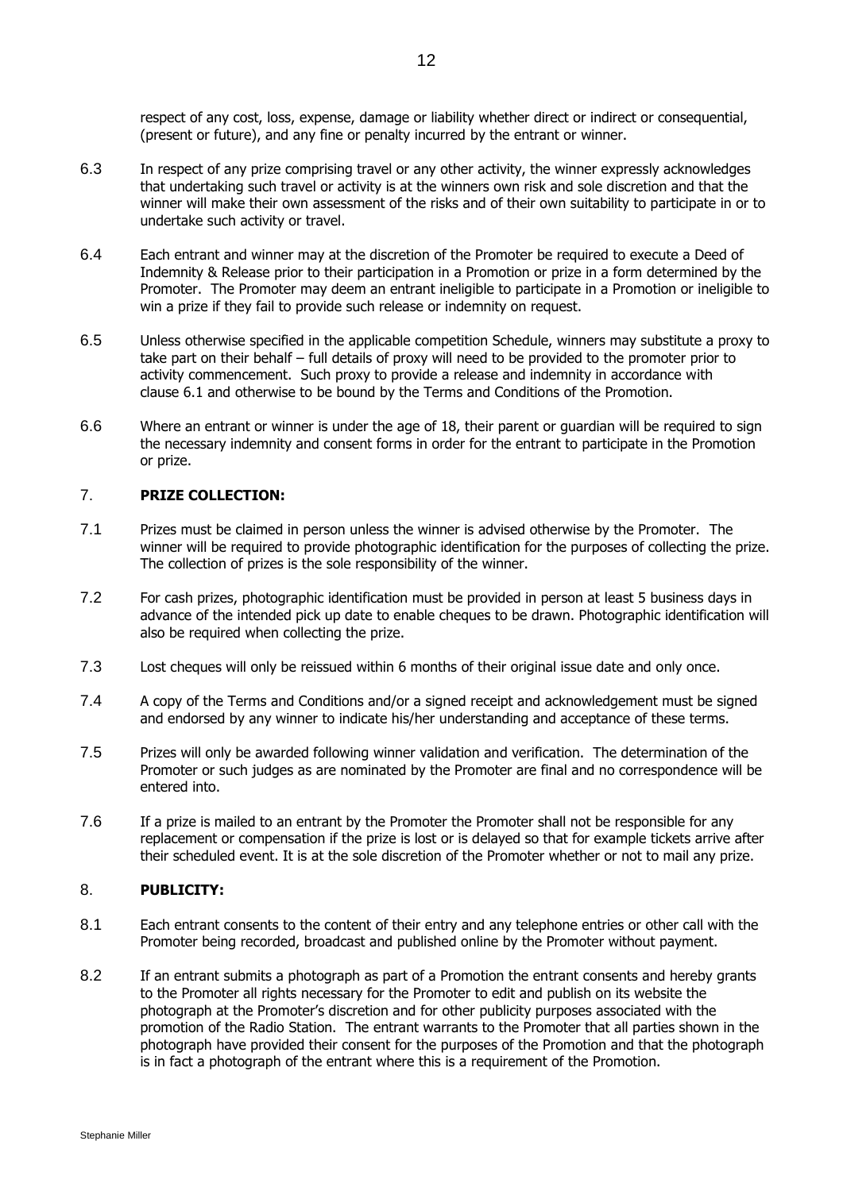respect of any cost, loss, expense, damage or liability whether direct or indirect or consequential, (present or future), and any fine or penalty incurred by the entrant or winner.

- 6.3 In respect of any prize comprising travel or any other activity, the winner expressly acknowledges that undertaking such travel or activity is at the winners own risk and sole discretion and that the winner will make their own assessment of the risks and of their own suitability to participate in or to undertake such activity or travel.
- 6.4 Each entrant and winner may at the discretion of the Promoter be required to execute a Deed of Indemnity & Release prior to their participation in a Promotion or prize in a form determined by the Promoter. The Promoter may deem an entrant ineligible to participate in a Promotion or ineligible to win a prize if they fail to provide such release or indemnity on request.
- 6.5 Unless otherwise specified in the applicable competition Schedule, winners may substitute a proxy to take part on their behalf – full details of proxy will need to be provided to the promoter prior to activity commencement. Such proxy to provide a release and indemnity in accordance with clause [6.1](#page-10-0) and otherwise to be bound by the Terms and Conditions of the Promotion.
- 6.6 Where an entrant or winner is under the age of 18, their parent or guardian will be required to sign the necessary indemnity and consent forms in order for the entrant to participate in the Promotion or prize.

# 7. **PRIZE COLLECTION:**

- 7.1 Prizes must be claimed in person unless the winner is advised otherwise by the Promoter. The winner will be required to provide photographic identification for the purposes of collecting the prize. The collection of prizes is the sole responsibility of the winner.
- 7.2 For cash prizes, photographic identification must be provided in person at least 5 business days in advance of the intended pick up date to enable cheques to be drawn. Photographic identification will also be required when collecting the prize.
- 7.3 Lost cheques will only be reissued within 6 months of their original issue date and only once.
- 7.4 A copy of the Terms and Conditions and/or a signed receipt and acknowledgement must be signed and endorsed by any winner to indicate his/her understanding and acceptance of these terms.
- 7.5 Prizes will only be awarded following winner validation and verification. The determination of the Promoter or such judges as are nominated by the Promoter are final and no correspondence will be entered into.
- 7.6 If a prize is mailed to an entrant by the Promoter the Promoter shall not be responsible for any replacement or compensation if the prize is lost or is delayed so that for example tickets arrive after their scheduled event. It is at the sole discretion of the Promoter whether or not to mail any prize.

# 8. **PUBLICITY:**

- 8.1 Each entrant consents to the content of their entry and any telephone entries or other call with the Promoter being recorded, broadcast and published online by the Promoter without payment.
- 8.2 If an entrant submits a photograph as part of a Promotion the entrant consents and hereby grants to the Promoter all rights necessary for the Promoter to edit and publish on its website the photograph at the Promoter's discretion and for other publicity purposes associated with the promotion of the Radio Station. The entrant warrants to the Promoter that all parties shown in the photograph have provided their consent for the purposes of the Promotion and that the photograph is in fact a photograph of the entrant where this is a requirement of the Promotion.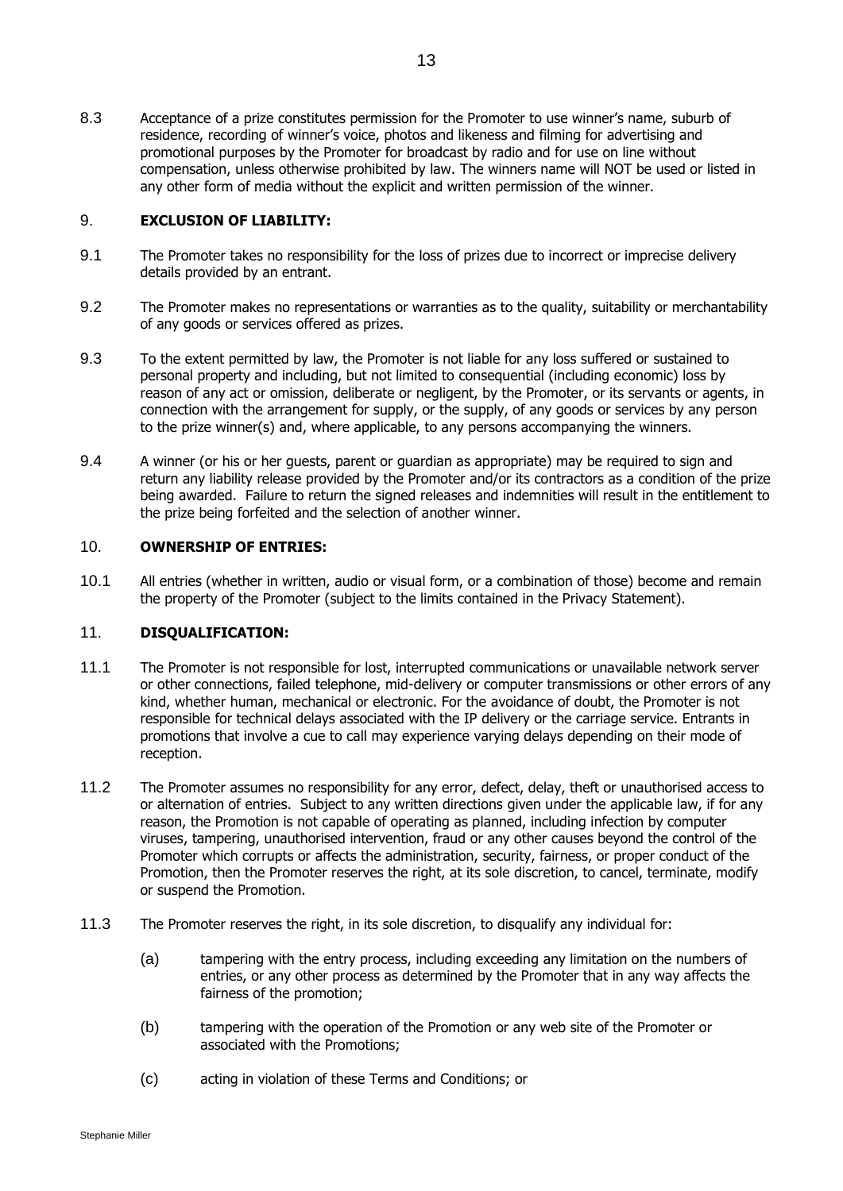8.3 Acceptance of a prize constitutes permission for the Promoter to use winner's name, suburb of residence, recording of winner's voice, photos and likeness and filming for advertising and promotional purposes by the Promoter for broadcast by radio and for use on line without compensation, unless otherwise prohibited by law. The winners name will NOT be used or listed in any other form of media without the explicit and written permission of the winner.

# 9. **EXCLUSION OF LIABILITY:**

- 9.1 The Promoter takes no responsibility for the loss of prizes due to incorrect or imprecise delivery details provided by an entrant.
- 9.2 The Promoter makes no representations or warranties as to the quality, suitability or merchantability of any goods or services offered as prizes.
- 9.3 To the extent permitted by law, the Promoter is not liable for any loss suffered or sustained to personal property and including, but not limited to consequential (including economic) loss by reason of any act or omission, deliberate or negligent, by the Promoter, or its servants or agents, in connection with the arrangement for supply, or the supply, of any goods or services by any person to the prize winner(s) and, where applicable, to any persons accompanying the winners.
- 9.4 A winner (or his or her guests, parent or guardian as appropriate) may be required to sign and return any liability release provided by the Promoter and/or its contractors as a condition of the prize being awarded. Failure to return the signed releases and indemnities will result in the entitlement to the prize being forfeited and the selection of another winner.

### 10. **OWNERSHIP OF ENTRIES:**

10.1 All entries (whether in written, audio or visual form, or a combination of those) become and remain the property of the Promoter (subject to the limits contained in the Privacy Statement).

# 11. **DISQUALIFICATION:**

- 11.1 The Promoter is not responsible for lost, interrupted communications or unavailable network server or other connections, failed telephone, mid-delivery or computer transmissions or other errors of any kind, whether human, mechanical or electronic. For the avoidance of doubt, the Promoter is not responsible for technical delays associated with the IP delivery or the carriage service. Entrants in promotions that involve a cue to call may experience varying delays depending on their mode of reception.
- 11.2 The Promoter assumes no responsibility for any error, defect, delay, theft or unauthorised access to or alternation of entries. Subject to any written directions given under the applicable law, if for any reason, the Promotion is not capable of operating as planned, including infection by computer viruses, tampering, unauthorised intervention, fraud or any other causes beyond the control of the Promoter which corrupts or affects the administration, security, fairness, or proper conduct of the Promotion, then the Promoter reserves the right, at its sole discretion, to cancel, terminate, modify or suspend the Promotion.
- 11.3 The Promoter reserves the right, in its sole discretion, to disqualify any individual for:
	- (a) tampering with the entry process, including exceeding any limitation on the numbers of entries, or any other process as determined by the Promoter that in any way affects the fairness of the promotion;
	- (b) tampering with the operation of the Promotion or any web site of the Promoter or associated with the Promotions;
	- (c) acting in violation of these Terms and Conditions; or